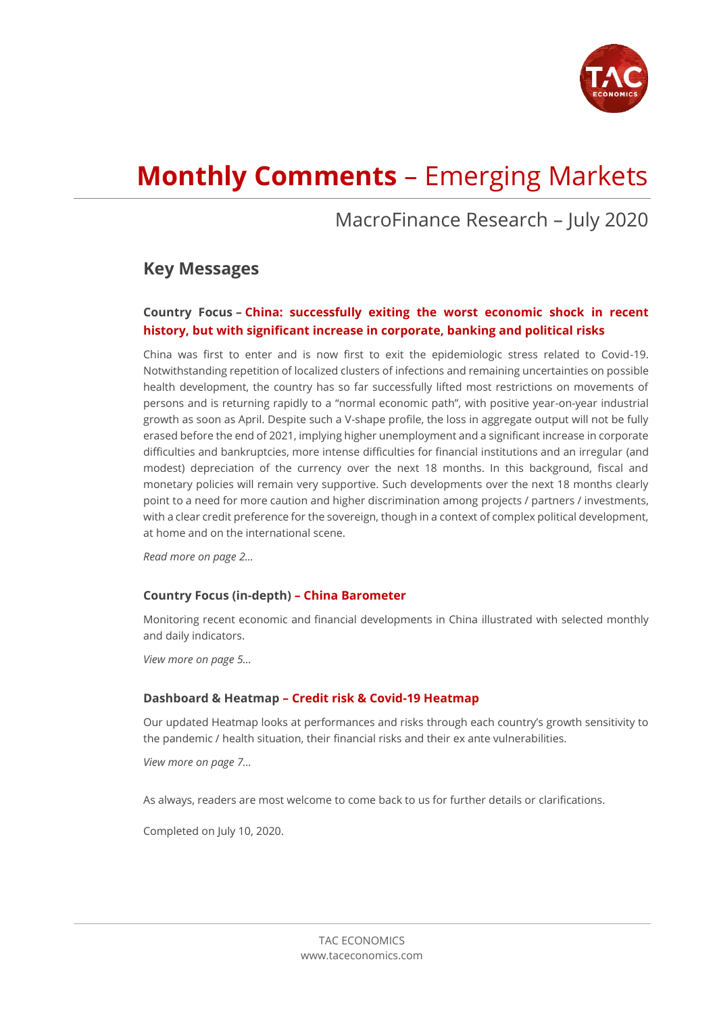

# **Monthly Comments** – Emerging Markets

## MacroFinance Research – July 2020

## **Key Messages**

## **Country Focus – China: successfully exiting the worst economic shock in recent history, but with significant increase in corporate, banking and political risks**

China was first to enter and is now first to exit the epidemiologic stress related to Covid-19. Notwithstanding repetition of localized clusters of infections and remaining uncertainties on possible health development, the country has so far successfully lifted most restrictions on movements of persons and is returning rapidly to a "normal economic path", with positive year-on-year industrial growth as soon as April. Despite such a V-shape profile, the loss in aggregate output will not be fully erased before the end of 2021, implying higher unemployment and a significant increase in corporate difficulties and bankruptcies, more intense difficulties for financial institutions and an irregular (and modest) depreciation of the currency over the next 18 months. In this background, fiscal and monetary policies will remain very supportive. Such developments over the next 18 months clearly point to a need for more caution and higher discrimination among projects / partners / investments, with a clear credit preference for the sovereign, though in a context of complex political development, at home and on the international scene.

*Read more on page 2…*

## **Country Focus (in-depth) – China Barometer**

Monitoring recent economic and financial developments in China illustrated with selected monthly and daily indicators.

*View more on page 5…*

### **Dashboard & Heatmap – Credit risk & Covid-19 Heatmap**

Our updated Heatmap looks at performances and risks through each country's growth sensitivity to the pandemic / health situation, their financial risks and their ex ante vulnerabilities.

*View more on page 7…*

As always, readers are most welcome to come back to us for further details or clarifications.

Completed on July 10, 2020.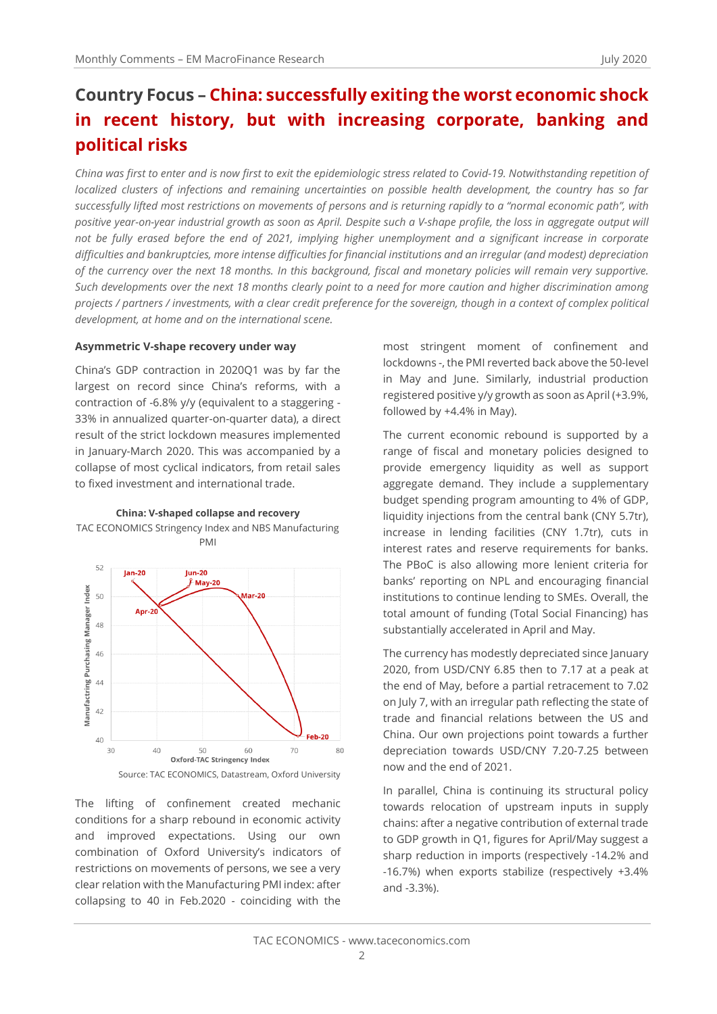## **Country Focus – China: successfully exiting the worst economic shock in recent history, but with increasing corporate, banking and political risks**

*China was first to enter and is now first to exit the epidemiologic stress related to Covid-19. Notwithstanding repetition of localized clusters of infections and remaining uncertainties on possible health development, the country has so far successfully lifted most restrictions on movements of persons and is returning rapidly to a "normal economic path", with positive year-on-year industrial growth as soon as April. Despite such a V-shape profile, the loss in aggregate output will not be fully erased before the end of 2021, implying higher unemployment and a significant increase in corporate difficulties and bankruptcies, more intense difficulties for financial institutions and an irregular (and modest) depreciation of the currency over the next 18 months. In this background, fiscal and monetary policies will remain very supportive. Such developments over the next 18 months clearly point to a need for more caution and higher discrimination among projects / partners / investments, with a clear credit preference for the sovereign, though in a context of complex political development, at home and on the international scene.*

### **Asymmetric V-shape recovery under way**

China's GDP contraction in 2020Q1 was by far the largest on record since China's reforms, with a contraction of -6.8% y/y (equivalent to a staggering - 33% in annualized quarter-on-quarter data), a direct result of the strict lockdown measures implemented in January-March 2020. This was accompanied by a collapse of most cyclical indicators, from retail sales to fixed investment and international trade.





Source: TAC ECONOMICS, Datastream, Oxford University

The lifting of confinement created mechanic conditions for a sharp rebound in economic activity and improved expectations. Using our own combination of Oxford University's indicators of restrictions on movements of persons, we see a very clear relation with the Manufacturing PMI index: after collapsing to 40 in Feb.2020 - coinciding with the

most stringent moment of confinement and lockdowns -, the PMI reverted back above the 50-level in May and June. Similarly, industrial production registered positive y/y growth as soon as April (+3.9%, followed by +4.4% in May).

The current economic rebound is supported by a range of fiscal and monetary policies designed to provide emergency liquidity as well as support aggregate demand. They include a supplementary budget spending program amounting to 4% of GDP, liquidity injections from the central bank (CNY 5.7tr), increase in lending facilities (CNY 1.7tr), cuts in interest rates and reserve requirements for banks. The PBoC is also allowing more lenient criteria for banks' reporting on NPL and encouraging financial institutions to continue lending to SMEs. Overall, the total amount of funding (Total Social Financing) has substantially accelerated in April and May.

The currency has modestly depreciated since January 2020, from USD/CNY 6.85 then to 7.17 at a peak at the end of May, before a partial retracement to 7.02 on July 7, with an irregular path reflecting the state of trade and financial relations between the US and China. Our own projections point towards a further depreciation towards USD/CNY 7.20-7.25 between now and the end of 2021.

In parallel, China is continuing its structural policy towards relocation of upstream inputs in supply chains: after a negative contribution of external trade to GDP growth in Q1, figures for April/May suggest a sharp reduction in imports (respectively -14.2% and -16.7%) when exports stabilize (respectively +3.4% and -3.3%).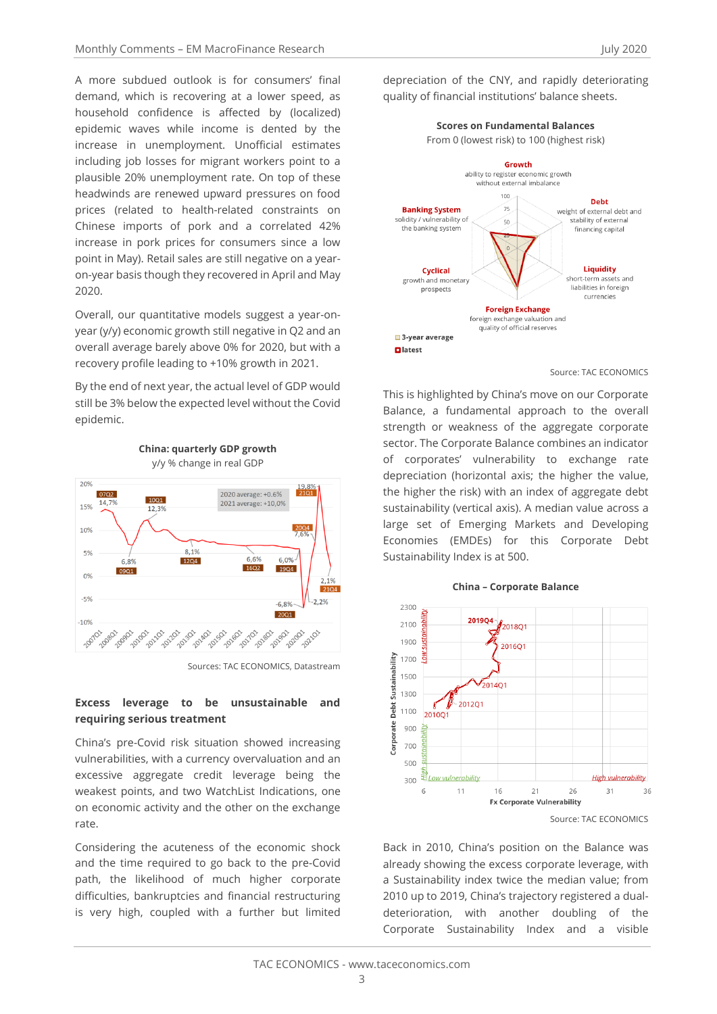A more subdued outlook is for consumers' final demand, which is recovering at a lower speed, as household confidence is affected by (localized) epidemic waves while income is dented by the increase in unemployment. Unofficial estimates including job losses for migrant workers point to a plausible 20% unemployment rate. On top of these headwinds are renewed upward pressures on food prices (related to health-related constraints on Chinese imports of pork and a correlated 42% increase in pork prices for consumers since a low point in May). Retail sales are still negative on a yearon-year basis though they recovered in April and May 2020.

Overall, our quantitative models suggest a year-onyear (y/y) economic growth still negative in Q2 and an overall average barely above 0% for 2020, but with a recovery profile leading to +10% growth in 2021.

By the end of next year, the actual level of GDP would still be 3% below the expected level without the Covid epidemic.

**China: quarterly GDP growth**





## **Excess leverage to be unsustainable and requiring serious treatment**

China's pre-Covid risk situation showed increasing vulnerabilities, with a currency overvaluation and an excessive aggregate credit leverage being the weakest points, and two WatchList Indications, one on economic activity and the other on the exchange rate.

Considering the acuteness of the economic shock and the time required to go back to the pre-Covid path, the likelihood of much higher corporate difficulties, bankruptcies and financial restructuring is very high, coupled with a further but limited

depreciation of the CNY, and rapidly deteriorating quality of financial institutions' balance sheets.

**Scores on Fundamental Balances**



Source: TAC ECONOMICS

This is highlighted by China's move on our Corporate Balance, a fundamental approach to the overall strength or weakness of the aggregate corporate sector. The Corporate Balance combines an indicator of corporates' vulnerability to exchange rate depreciation (horizontal axis; the higher the value, the higher the risk) with an index of aggregate debt sustainability (vertical axis). A median value across a large set of Emerging Markets and Developing Economies (EMDEs) for this Corporate Debt Sustainability Index is at 500.



Back in 2010, China's position on the Balance was already showing the excess corporate leverage, with a Sustainability index twice the median value; from 2010 up to 2019, China's trajectory registered a dualdeterioration, with another doubling of the Corporate Sustainability Index and a visible

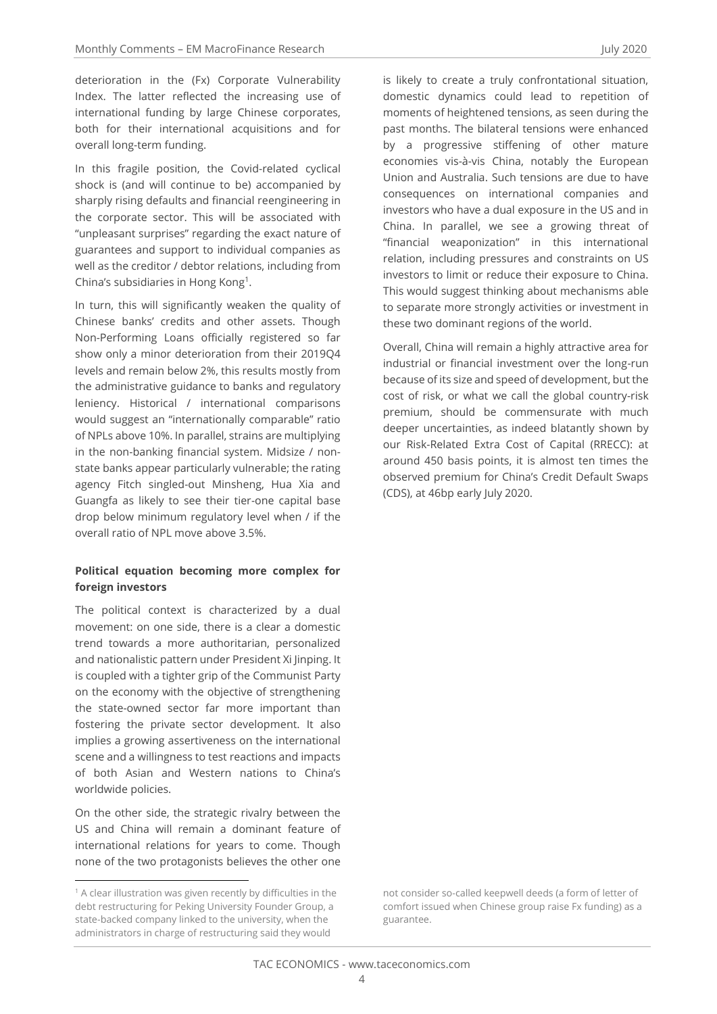deterioration in the (Fx) Corporate Vulnerability Index. The latter reflected the increasing use of international funding by large Chinese corporates, both for their international acquisitions and for overall long-term funding.

In this fragile position, the Covid-related cyclical shock is (and will continue to be) accompanied by sharply rising defaults and financial reengineering in the corporate sector. This will be associated with "unpleasant surprises" regarding the exact nature of guarantees and support to individual companies as well as the creditor / debtor relations, including from China's subsidiaries in Hong Kong<sup>1</sup>.

In turn, this will significantly weaken the quality of Chinese banks' credits and other assets. Though Non-Performing Loans officially registered so far show only a minor deterioration from their 2019Q4 levels and remain below 2%, this results mostly from the administrative guidance to banks and regulatory leniency. Historical / international comparisons would suggest an "internationally comparable" ratio of NPLs above 10%. In parallel, strains are multiplying in the non-banking financial system. Midsize / nonstate banks appear particularly vulnerable; the rating agency Fitch singled-out Minsheng, Hua Xia and Guangfa as likely to see their tier-one capital base drop below minimum regulatory level when / if the overall ratio of NPL move above 3.5%.

#### **Political equation becoming more complex for foreign investors**

The political context is characterized by a dual movement: on one side, there is a clear a domestic trend towards a more authoritarian, personalized and nationalistic pattern under President Xi Jinping. It is coupled with a tighter grip of the Communist Party on the economy with the objective of strengthening the state-owned sector far more important than fostering the private sector development. It also implies a growing assertiveness on the international scene and a willingness to test reactions and impacts of both Asian and Western nations to China's worldwide policies.

On the other side, the strategic rivalry between the US and China will remain a dominant feature of international relations for years to come. Though none of the two protagonists believes the other one

is likely to create a truly confrontational situation, domestic dynamics could lead to repetition of moments of heightened tensions, as seen during the past months. The bilateral tensions were enhanced by a progressive stiffening of other mature economies vis-à-vis China, notably the European Union and Australia. Such tensions are due to have consequences on international companies and investors who have a dual exposure in the US and in China. In parallel, we see a growing threat of "financial weaponization" in this international relation, including pressures and constraints on US investors to limit or reduce their exposure to China. This would suggest thinking about mechanisms able to separate more strongly activities or investment in these two dominant regions of the world.

Overall, China will remain a highly attractive area for industrial or financial investment over the long-run because of its size and speed of development, but the cost of risk, or what we call the global country-risk premium, should be commensurate with much deeper uncertainties, as indeed blatantly shown by our Risk-Related Extra Cost of Capital (RRECC): at around 450 basis points, it is almost ten times the observed premium for China's Credit Default Swaps (CDS), at 46bp early July 2020.

<sup>1</sup> A clear illustration was given recently by difficulties in the debt restructuring for Peking University Founder Group, a state-backed company linked to the university, when the administrators in charge of restructuring said they would

not consider so-called keepwell deeds (a form of letter of comfort issued when Chinese group raise Fx funding) as a guarantee.

 $\Delta$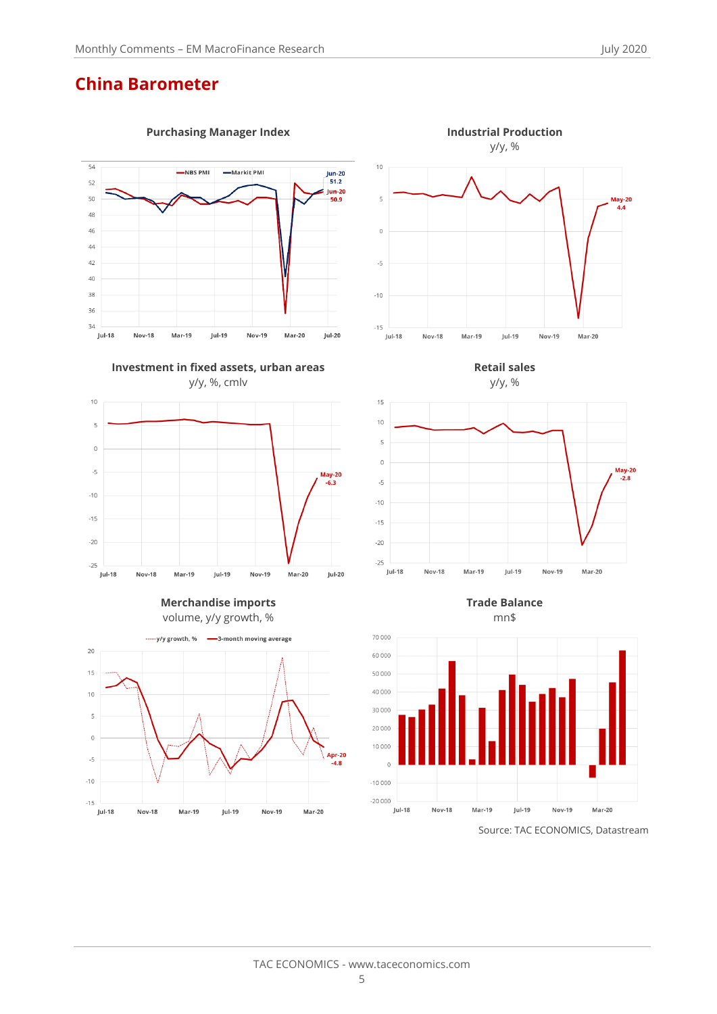## **China Barometer**







**Merchandise imports** volume, y/y growth, %





**Retail sales**

 $15$  $10$ 

 $\overline{5}$ 





**Trade Balance** mn\$



Source: TAC ECONOMICS, Datastream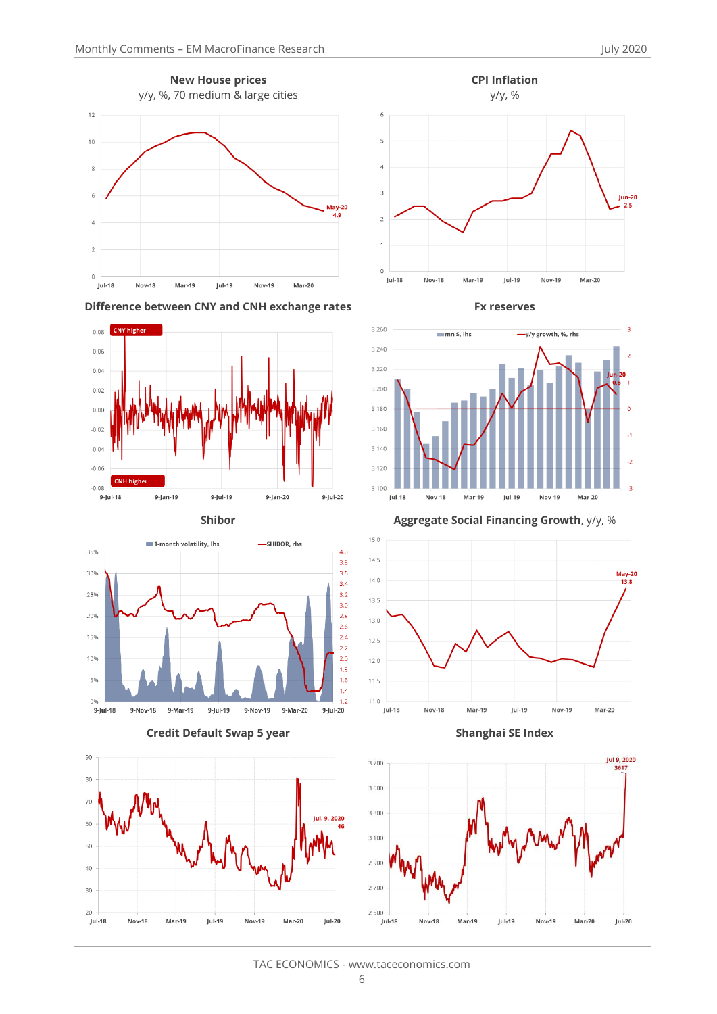

**Difference between CNY and CNH exchange rates Fx reserves**













**Shibor Aggregate Social Financing Growth**, y/y, %







TAC ECONOMICS - www.taceconomics.com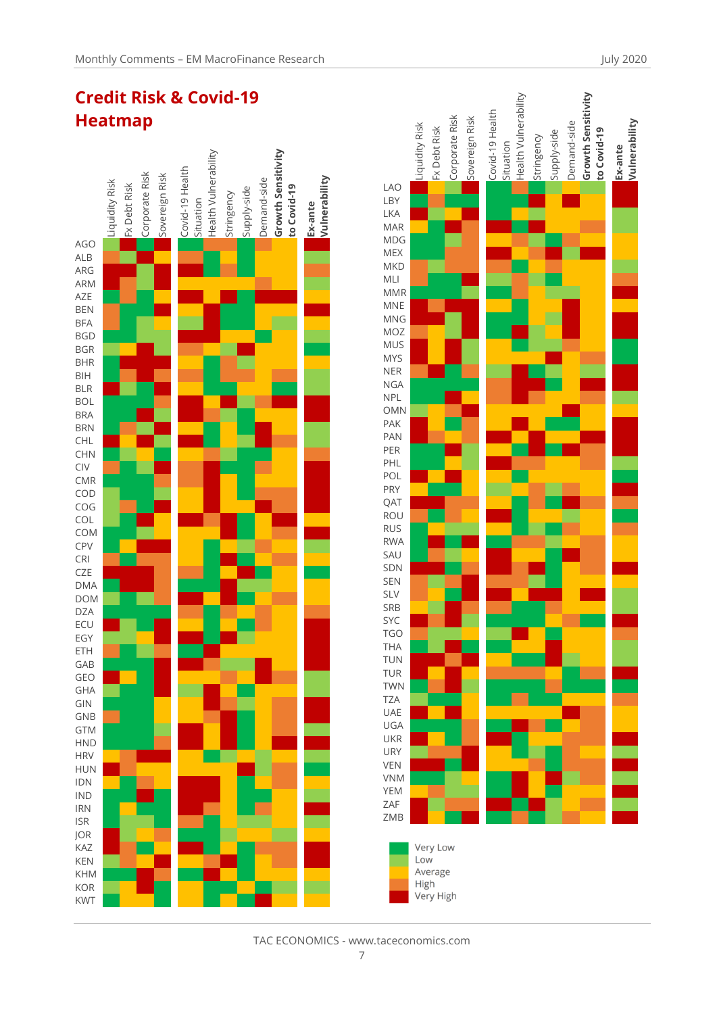



TAC ECONOMICS - www.taceconomics.com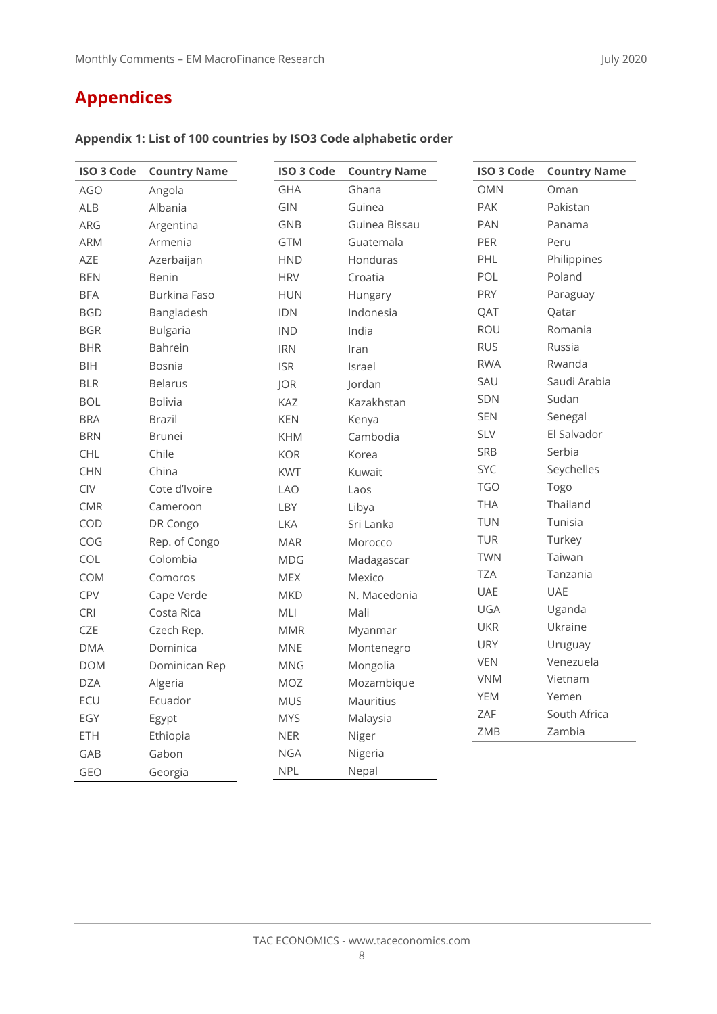| <b>ISO 3 Code</b> | <b>Country Name</b> | <b>ISO 3 Code</b> | <b>Country Name</b> | <b>ISO 3 Code</b> | <b>Country Name</b> |
|-------------------|---------------------|-------------------|---------------------|-------------------|---------------------|
| <b>AGO</b>        | Angola              | <b>GHA</b>        | Ghana               | <b>OMN</b>        | Oman                |
| <b>ALB</b>        | Albania             | GIN               | Guinea              | PAK               | Pakistan            |
| ARG               | Argentina           | GNB               | Guinea Bissau       | PAN               | Panama              |
| <b>ARM</b>        | Armenia             | <b>GTM</b>        | Guatemala           | PER               | Peru                |
| <b>AZE</b>        | Azerbaijan          | <b>HND</b>        | Honduras            | PHL               | Philippines         |
| <b>BEN</b>        | <b>Benin</b>        | <b>HRV</b>        | Croatia             | POL               | Poland              |
| <b>BFA</b>        | Burkina Faso        | <b>HUN</b>        | Hungary             | <b>PRY</b>        | Paraguay            |
| <b>BGD</b>        | Bangladesh          | <b>IDN</b>        | Indonesia           | QAT               | Qatar               |
| <b>BGR</b>        | <b>Bulgaria</b>     | <b>IND</b>        | India               | ROU               | Romania             |
| <b>BHR</b>        | <b>Bahrein</b>      | <b>IRN</b>        | Iran                | <b>RUS</b>        | Russia              |
| BIH               | Bosnia              | <b>ISR</b>        | Israel              | <b>RWA</b>        | Rwanda              |
| <b>BLR</b>        | <b>Belarus</b>      | <b>JOR</b>        | Jordan              | SAU               | Saudi Arabia        |
| <b>BOL</b>        | <b>Bolivia</b>      | KAZ               | Kazakhstan          | SDN               | Sudan               |
| <b>BRA</b>        | <b>Brazil</b>       | <b>KEN</b>        | Kenya               | <b>SEN</b>        | Senegal             |
| <b>BRN</b>        | <b>Brunei</b>       | <b>KHM</b>        | Cambodia            | <b>SLV</b>        | El Salvador         |
| <b>CHL</b>        | Chile               | <b>KOR</b>        | Korea               | SRB               | Serbia              |
| <b>CHN</b>        | China               | <b>KWT</b>        | Kuwait              | SYC               | Seychelles          |
| CIV               | Cote d'Ivoire       | <b>LAO</b>        | Laos                | <b>TGO</b>        | Togo                |
| <b>CMR</b>        | Cameroon            | LBY               | Libya               | <b>THA</b>        | Thailand            |
| COD               | DR Congo            | <b>LKA</b>        | Sri Lanka           | <b>TUN</b>        | Tunisia             |
| COG               | Rep. of Congo       | <b>MAR</b>        | Morocco             | TUR               | Turkey              |
| COL               | Colombia            | <b>MDG</b>        | Madagascar          | <b>TWN</b>        | Taiwan              |
| COM               | Comoros             | <b>MEX</b>        | Mexico              | TZA               | Tanzania            |
| CPV               | Cape Verde          | <b>MKD</b>        | N. Macedonia        | UAE               | <b>UAE</b>          |
| CRI               | Costa Rica          | MLI               | Mali                | UGA               | Uganda              |
| CZE               | Czech Rep.          | <b>MMR</b>        | Myanmar             | <b>UKR</b>        | Ukraine             |
| <b>DMA</b>        | Dominica            | <b>MNE</b>        | Montenegro          | <b>URY</b>        | Uruguay             |
| <b>DOM</b>        | Dominican Rep       | <b>MNG</b>        | Mongolia            | <b>VEN</b>        | Venezuela           |
| <b>DZA</b>        | Algeria             | <b>MOZ</b>        | Mozambique          | <b>VNM</b>        | Vietnam             |
| ECU               | Ecuador             | <b>MUS</b>        | Mauritius           | <b>YEM</b>        | Yemen               |
| EGY               | Egypt               | <b>MYS</b>        | Malaysia            | ZAF               | South Africa        |
| ETH               | Ethiopia            | <b>NER</b>        | Niger               | ZMB               | Zambia              |
| GAB               | Gabon               | <b>NGA</b>        | Nigeria             |                   |                     |
| GEO               | Georgia             | <b>NPL</b>        | Nepal               |                   |                     |

## **Appendix 1: List of 100 countries by ISO3 Code alphabetic order**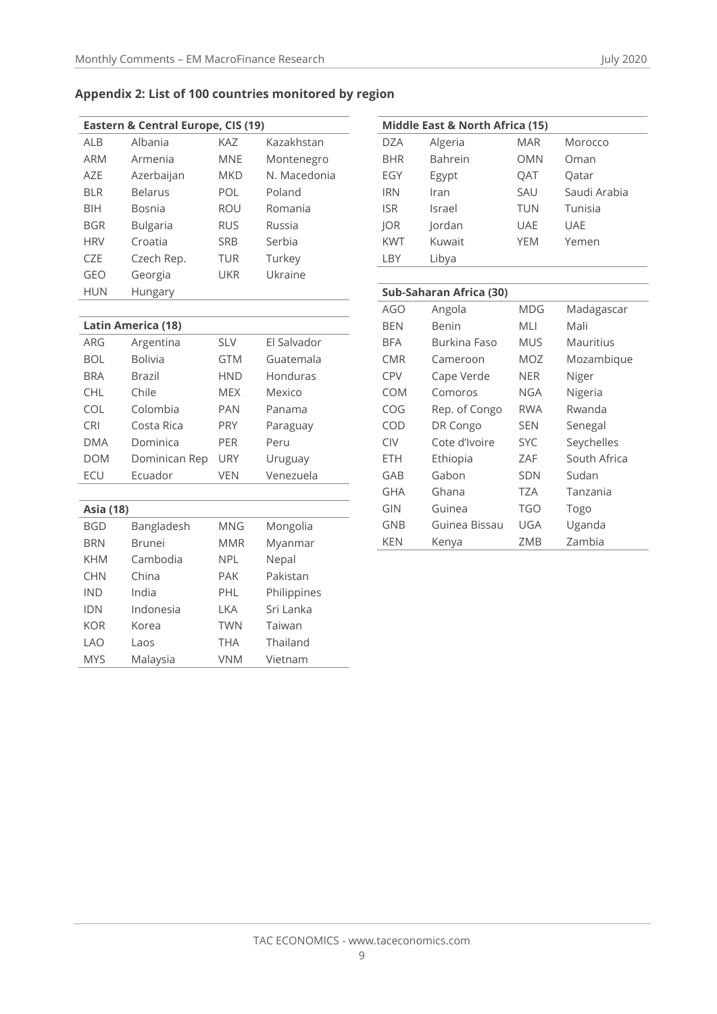## **Appendix 2: List of 100 countries monitored by region**

| Eastern & Central Europe, CIS (19) |                 |            |              |
|------------------------------------|-----------------|------------|--------------|
| <b>ALB</b>                         | Albania         | KA7        | Kazakhstan   |
| <b>ARM</b>                         | Armenia         | MNF        | Montenegro   |
| A7F                                | Azerbaijan      | <b>MKD</b> | N. Macedonia |
| <b>BLR</b>                         | <b>Belarus</b>  | POL        | Poland       |
| <b>BIH</b>                         | Bosnia          | <b>ROU</b> | Romania      |
| <b>BGR</b>                         | <b>Bulgaria</b> | <b>RUS</b> | Russia       |
| <b>HRV</b>                         | Croatia         | <b>SRB</b> | Serbia       |
| C <sub>7F</sub>                    | Czech Rep.      | <b>TUR</b> | Turkey       |
| GEO                                | Georgia         | UKR        | Ukraine      |
| <b>HUN</b>                         | Hungary         |            |              |

| Latin America (18) |                |            |             |
|--------------------|----------------|------------|-------------|
| ARG                | Argentina      | <b>SLV</b> | El Salvador |
| <b>BOL</b>         | <b>Bolivia</b> | <b>GTM</b> | Guatemala   |
| <b>BRA</b>         | Brazil         | <b>HND</b> | Honduras    |
| <b>CHL</b>         | Chile          | <b>MEX</b> | Mexico      |
| COL                | Colombia       | <b>PAN</b> | Panama      |
| <b>CRI</b>         | Costa Rica     | <b>PRY</b> | Paraguay    |
| <b>DMA</b>         | Dominica       | <b>PFR</b> | Peru        |
| <b>DOM</b>         | Dominican Rep  | <b>URY</b> | Uruguay     |
| <b>ECU</b>         | Ecuador        | VFN        | Venezuela   |

## **Asia (18)** BGD Bangladesh MNG Mongolia BRN Brunei MMR Myanmar KHM Cambodia NPL Nepal CHN China PAK Pakistan IND India PHL Philippines IDN Indonesia LKA Sri Lanka KOR Korea TWN Taiwan LAO Laos THA Thailand MYS Malaysia VNM Vietnam

| Middle East & North Africa (15) |         |            |              |
|---------------------------------|---------|------------|--------------|
| <b>DZA</b>                      | Algeria | <b>MAR</b> | Morocco      |
| <b>BHR</b>                      | Bahrein | OMN        | Oman         |
| EGY                             | Egypt   | <b>OAT</b> | Oatar        |
| <b>IRN</b>                      | Iran    | SAU        | Saudi Arabia |
| <b>ISR</b>                      | Israel  | TUN        | Tunisia      |
| <b>IOR</b>                      | Jordan  | UAE        | <b>UAE</b>   |
| <b>KWT</b>                      | Kuwait  | <b>YEM</b> | Yemen        |
| LBY                             | Libya   |            |              |

| Sub-Saharan Africa (30) |               |            |              |
|-------------------------|---------------|------------|--------------|
| AGO                     | Angola        | MDG        | Madagascar   |
| BEN                     | Benin         | MLI        | Mali         |
| BFA                     | Burkina Faso  | MUS        | Mauritius    |
| CMR                     | Cameroon      | MOZ        | Mozambique   |
| CPV                     | Cape Verde    | NER        | Niger        |
| COM                     | Comoros       | NGA        | Nigeria      |
| COG                     | Rep. of Congo | <b>RWA</b> | Rwanda       |
| COD                     | DR Congo      | <b>SEN</b> | Senegal      |
| <b>CIV</b>              | Cote d'Ivoire | <b>SYC</b> | Seychelles   |
| ETH                     | Ethiopia      | ZAF        | South Africa |
| GAB                     | Gabon         | <b>SDN</b> | Sudan        |
| GHA                     | Ghana         | TZA        | Tanzania     |
| GIN                     | Guinea        | TGO        | Togo         |
| GNB                     | Guinea Bissau | UGA        | Uganda       |
| KEN                     | Kenya         | ZMB        | Zambia       |

#### TAC ECONOMICS - www.taceconomics.com